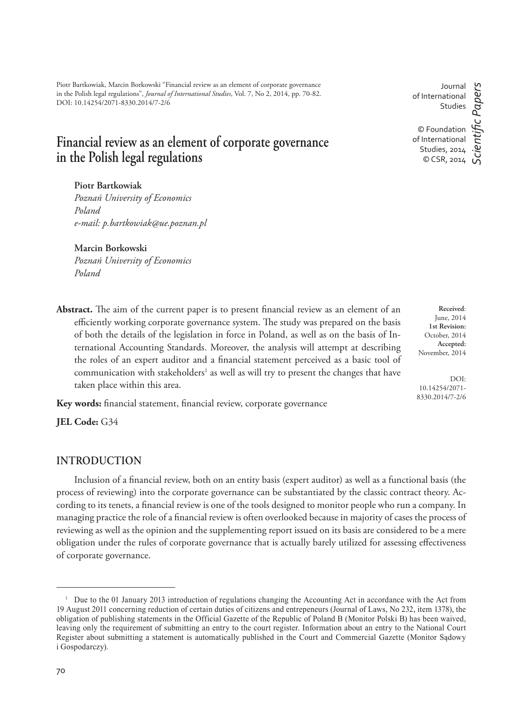Piotr Bartkowiak, Marcin Borkowski "Financial review as an element of corporate governance in the Polish legal regulations", *Journal of International Studies*, Vol. 7, No 2, 2014, pp. 70-82. DOI: 10.14254/2071-8330.2014/7-2/6

# **Financial review as an element of corporate governance in the Polish legal regulations**

**Piotr Bartkowiak**

*Poznań University of Economics Poland e-mail: p.bartkowiak@ue.poznan.pl*

### **Marcin Borkowski**

*Poznań University of Economics Poland*

Abstract. The aim of the current paper is to present financial review as an element of an efficiently working corporate governance system. The study was prepared on the basis of both the details of the legislation in force in Poland, as well as on the basis of International Accounting Standards. Moreover, the analysis will attempt at describing the roles of an expert auditor and a financial statement perceived as a basic tool of communication with stakeholders<sup>1</sup> as well as will try to present the changes that have taken place within this area.

Key words: financial statement, financial review, corporate governance

**JEL Code:** G34

## **INTRODUCTION**

Inclusion of a financial review, both on an entity basis (expert auditor) as well as a functional basis (the process of reviewing) into the corporate governance can be substantiated by the classic contract theory. According to its tenets, a financial review is one of the tools designed to monitor people who run a company. In managing practice the role of a financial review is often overlooked because in majority of cases the process of reviewing as well as the opinion and the supplementing report issued on its basis are considered to be a mere obligation under the rules of corporate governance that is actually barely utilized for assessing effectiveness of corporate governance.

Journal of International Studies © Foundation of International Studies, 2014 © CSR, 2014 *ScientiÞ c Papers*

**Received**: June, 2014 **1st Revision:** October, 2014 **Accepted:** November, 2014

DOI: 10.14254/2071- 8330.2014/7-2/6

<sup>&</sup>lt;sup>1</sup> Due to the 01 January 2013 introduction of regulations changing the Accounting Act in accordance with the Act from 19 August 2011 concerning reduction of certain duties of citizens and entrepeneurs (Journal of Laws, No 232, item 1378), the obligation of publishing statements in the Official Gazette of the Republic of Poland B (Monitor Polski B) has been waived, leaving only the requirement of submitting an entry to the court register. Information about an entry to the National Court Register about submitting a statement is automatically published in the Court and Commercial Gazette (Monitor Sadowy i Gospodarczy).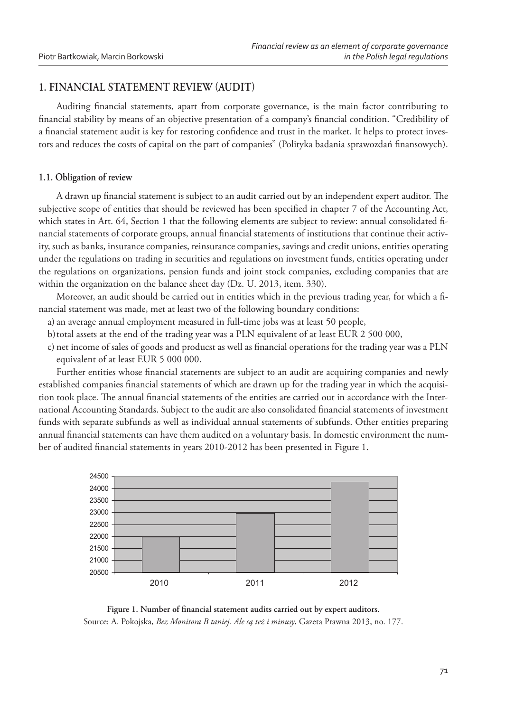## **1. FINANCIAL STATEMENT REVIEW AUDIT**

Auditing financial statements, apart from corporate governance, is the main factor contributing to financial stability by means of an objective presentation of a company's financial condition. "Credibility of a financial statement audit is key for restoring confidence and trust in the market. It helps to protect investors and reduces the costs of capital on the part of companies" (Polityka badania sprawozdań finansowych).

### **1.1. Obligation of review**

A drawn up financial statement is subject to an audit carried out by an independent expert auditor. The subjective scope of entities that should be reviewed has been specified in chapter 7 of the Accounting Act, which states in Art. 64, Section 1 that the following elements are subject to review: annual consolidated financial statements of corporate groups, annual financial statements of institutions that continue their activity, such as banks, insurance companies, reinsurance companies, savings and credit unions, entities operating under the regulations on trading in securities and regulations on investment funds, entities operating under the regulations on organizations, pension funds and joint stock companies, excluding companies that are within the organization on the balance sheet day (Dz. U. 2013, item. 330).

Moreover, an audit should be carried out in entities which in the previous trading year, for which a financial statement was made, met at least two of the following boundary conditions:

- a) an average annual employment measured in full-time jobs was at least 50 people,
- b) total assets at the end of the trading year was a PLN equivalent of at least EUR 2 500 000,
- c) net income of sales of goods and producst as well as financial operations for the trading year was a PLN equivalent of at least EUR 5 000 000.

Further entities whose financial statements are subject to an audit are acquiring companies and newly established companies financial statements of which are drawn up for the trading year in which the acquisition took place. The annual financial statements of the entities are carried out in accordance with the International Accounting Standards. Subject to the audit are also consolidated financial statements of investment funds with separate subfunds as well as individual annual statements of subfunds. Other entities preparing annual financial statements can have them audited on a voluntary basis. In domestic environment the number of audited financial statements in years 2010-2012 has been presented in Figure 1.



Figure 1. Number of financial statement audits carried out by expert auditors. Source: A. Pokojska, *Bez Monitora B taniej. Ale są też i minusy*, Gazeta Prawna 2013, no. 177.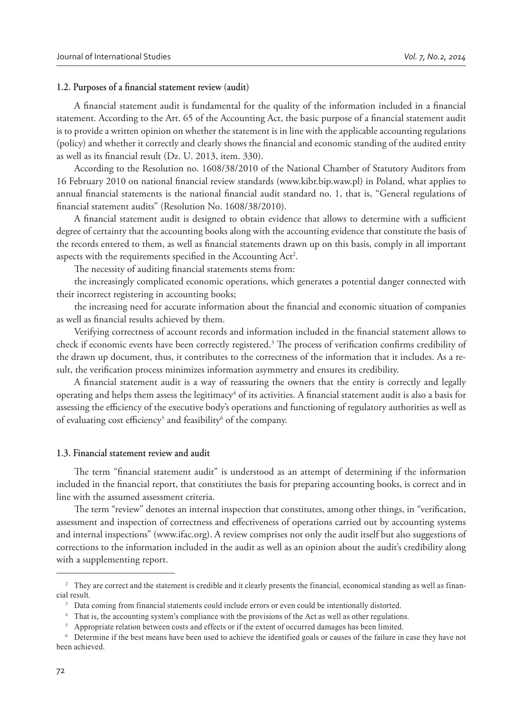### 1.2. Purposes of a financial statement review (audit)

A financial statement audit is fundamental for the quality of the information included in a financial statement. According to the Art. 65 of the Accounting Act, the basic purpose of a financial statement audit is to provide a written opinion on whether the statement is in line with the applicable accounting regulations (policy) and whether it correctly and clearly shows the financial and economic standing of the audited entity as well as its financial result (Dz. U. 2013, item. 330).

According to the Resolution no. 1608/38/2010 of the National Chamber of Statutory Auditors from 16 February 2010 on national financial review standards (www.kibr.bip.waw.pl) in Poland, what applies to annual financial statements is the national financial audit standard no. 1, that is, "General regulations of financial statement audits" (Resolution No. 1608/38/2010).

A financial statement audit is designed to obtain evidence that allows to determine with a sufficient degree of certainty that the accounting books along with the accounting evidence that constitute the basis of the records entered to them, as well as financial statements drawn up on this basis, comply in all important aspects with the requirements specified in the Accounting Act<sup>2</sup>.

The necessity of auditing financial statements stems from:

the increasingly complicated economic operations, which generates a potential danger connected with their incorrect registering in accounting books;

the increasing need for accurate information about the financial and economic situation of companies as well as financial results achieved by them.

Verifying correctness of account records and information included in the financial statement allows to check if economic events have been correctly registered.<sup>3</sup> The process of verification confirms credibility of the drawn up document, thus, it contributes to the correctness of the information that it includes. As a result, the verification process minimizes information asymmetry and ensures its credibility.

A financial statement audit is a way of reassuring the owners that the entity is correctly and legally operating and helps them assess the legitimacy<sup>4</sup> of its activities. A financial statement audit is also a basis for assessing the efficiency of the executive body's operations and functioning of regulatory authorities as well as of evaluating cost efficiency<sup>5</sup> and feasibility<sup>6</sup> of the company.

#### **1.3. Financial statement review and audit**

The term "financial statement audit" is understood as an attempt of determining if the information included in the financial report, that constitiutes the basis for preparing accounting books, is correct and in line with the assumed assessment criteria.

The term "review" denotes an internal inspection that constitutes, among other things, in "verification, assessment and inspection of correctness and effectiveness of operations carried out by accounting systems and internal inspections" (www.ifac.org). A review comprises not only the audit itself but also suggestions of corrections to the information included in the audit as well as an opinion about the audit's credibility along with a supplementing report.

<sup>&</sup>lt;sup>2</sup> They are correct and the statement is credible and it clearly presents the financial, economical standing as well as financial result.

<sup>&</sup>lt;sup>3</sup> Data coming from financial statements could include errors or even could be intentionally distorted.

<sup>&</sup>lt;sup>4</sup> That is, the accounting system's compliance with the provisions of the Act as well as other regulations.

<sup>&</sup>lt;sup>5</sup> Appropriate relation between costs and effects or if the extent of occurred damages has been limited.

<sup>&</sup>lt;sup>6</sup> Determine if the best means have been used to achieve the identified goals or causes of the failure in case they have not been achieved.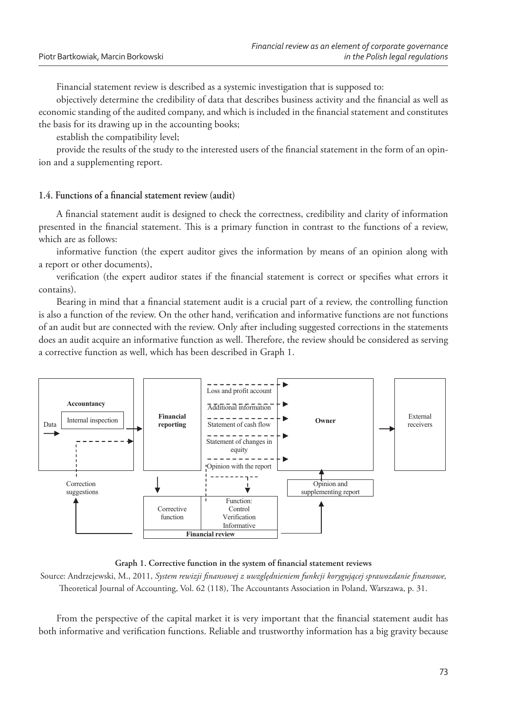Financial statement review is described as a systemic investigation that is supposed to:

objectively determine the credibility of data that describes business activity and the financial as well as economic standing of the audited company, and which is included in the financial statement and constitutes the basis for its drawing up in the accounting books;

establish the compatibility level;

provide the results of the study to the interested users of the financial statement in the form of an opinion and a supplementing report.

## 1.4. Functions of a financial statement review (audit)

A financial statement audit is designed to check the correctness, credibility and clarity of information presented in the financial statement. This is a primary function in contrast to the functions of a review, which are as follows:

informative function (the expert auditor gives the information by means of an opinion along with a report or other documents),

verification (the expert auditor states if the financial statement is correct or specifies what errors it contains).

Bearing in mind that a financial statement audit is a crucial part of a review, the controlling function is also a function of the review. On the other hand, verification and informative functions are not functions of an audit but are connected with the review. Only after including suggested corrections in the statements does an audit acquire an informative function as well. Therefore, the review should be considered as serving a corrective function as well, which has been described in Graph 1.



Graph 1. Corrective function in the system of financial statement reviews

Source: Andrzejewski, M., 2011, *System rewizji finansowej z uwzględnieniem funkcji korygującej sprawozdanie finansowe*, Theoretical Journal of Accounting, Vol. 62 (118), The Accountants Association in Poland, Warszawa, p. 31.

From the perspective of the capital market it is very important that the financial statement audit has both informative and verification functions. Reliable and trustworthy information has a big gravity because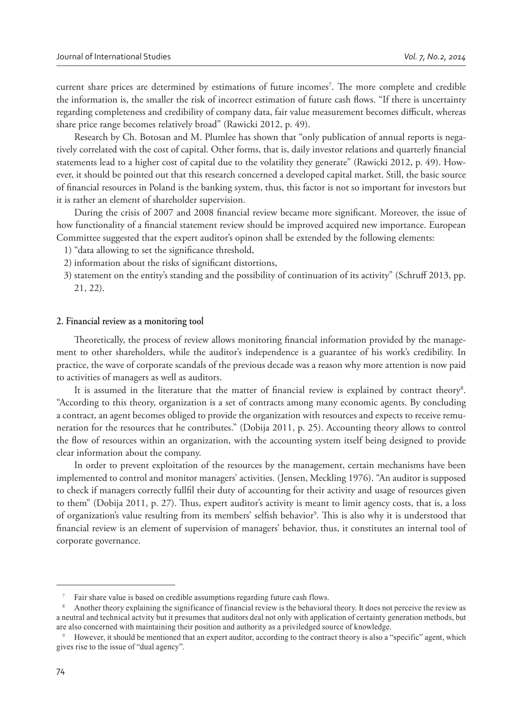current share prices are determined by estimations of future incomes<sup>7</sup>. The more complete and credible the information is, the smaller the risk of incorrect estimation of future cash flows. "If there is uncertainty regarding completeness and credibility of company data, fair value measurement becomes difficult, whereas share price range becomes relatively broad" (Rawicki 2012, p. 49).

Research by Ch. Botosan and M. Plumlee has shown that "only publication of annual reports is negatively correlated with the cost of capital. Other forms, that is, daily investor relations and quarterly financial statements lead to a higher cost of capital due to the volatility they generate" (Rawicki 2012, p. 49). However, it should be pointed out that this research concerned a developed capital market. Still, the basic source of financial resources in Poland is the banking system, thus, this factor is not so important for investors but it is rather an element of shareholder supervision.

During the crisis of 2007 and 2008 financial review became more significant. Moreover, the issue of how functionality of a financial statement review should be improved acquired new importance. European Committee suggested that the expert auditor's opinon shall be extended by the following elements:

- 1) "data allowing to set the significance threshold,
- 2) information about the risks of significant distortions,
- 3) statement on the entity's standing and the possibility of continuation of its activity" (Schruff 2013, pp. 21, 22).

#### **2. Financial review as a monitoring tool**

Theoretically, the process of review allows monitoring financial information provided by the management to other shareholders, while the auditor's independence is a guarantee of his work's credibility. In practice, the wave of corporate scandals of the previous decade was a reason why more attention is now paid to activities of managers as well as auditors.

It is assumed in the literature that the matter of financial review is explained by contract theory<sup>8</sup>. "According to this theory, organization is a set of contracts among many economic agents. By concluding a contract, an agent becomes obliged to provide the organization with resources and expects to receive remuneration for the resources that he contributes." (Dobija 2011, p. 25). Accounting theory allows to control the flow of resources within an organization, with the accounting system itself being designed to provide clear information about the company.

In order to prevent exploitation of the resources by the management, certain mechanisms have been implemented to control and monitor managers' activities. (Jensen, Meckling 1976). "An auditor is supposed to check if managers correctly fullfil their duty of accounting for their activity and usage of resources given to them" (Dobija 2011, p. 27). Thus, expert auditor's activity is meant to limit agency costs, that is, a loss of organization's value resulting from its members' selfish behavior<sup>9</sup>. This is also why it is understood that financial review is an element of supervision of managers' behavior, thus, it constitutes an internal tool of corporate governance.

Fair share value is based on credible assumptions regarding future cash flows.

Another theory explaining the significance of financial review is the behavioral theory. It does not perceive the review as a neutral and technical actvity but it presumes that auditors deal not only with application of certainty generation methods, but are also concerned with maintaining their position and authority as a priviledged source of knowledge.

However, it should be mentioned that an expert auditor, according to the contract theory is also a "specific" agent, which gives rise to the issue of "dual agency".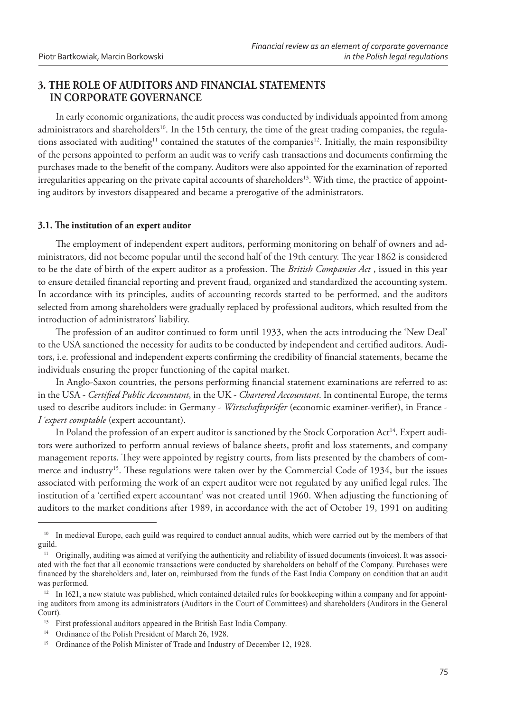## **3. THE ROLE OF AUDITORS AND FINANCIAL STATEMENTS IN CORPORATE GOVERNANCE**

In early economic organizations, the audit process was conducted by individuals appointed from among administrators and shareholders<sup>10</sup>. In the 15th century, the time of the great trading companies, the regulations associated with auditing<sup>11</sup> contained the statutes of the companies<sup>12</sup>. Initially, the main responsibility of the persons appointed to perform an audit was to verify cash transactions and documents confirming the purchases made to the benefit of the company. Auditors were also appointed for the examination of reported irregularities appearing on the private capital accounts of shareholders<sup>13</sup>. With time, the practice of appointing auditors by investors disappeared and became a prerogative of the administrators.

## **3.1. " e institution of an expert auditor**

The employment of independent expert auditors, performing monitoring on behalf of owners and administrators, did not become popular until the second half of the 19th century. The year 1862 is considered to be the date of birth of the expert auditor as a profession. The *British Companies Act*, issued in this year to ensure detailed financial reporting and prevent fraud, organized and standardized the accounting system. In accordance with its principles, audits of accounting records started to be performed, and the auditors selected from among shareholders were gradually replaced by professional auditors, which resulted from the introduction of administrators' liability.

The profession of an auditor continued to form until 1933, when the acts introducing the 'New Deal' to the USA sanctioned the necessity for audits to be conducted by independent and certified auditors. Auditors, i.e. professional and independent experts confirming the credibility of financial statements, became the individuals ensuring the proper functioning of the capital market.

In Anglo-Saxon countries, the persons performing financial statement examinations are referred to as: in the USA - *Certified Public Accountant*, in the UK - *Chartered Accountant*. In continental Europe, the terms used to describe auditors include: in Germany - Wirtschaftsprüfer (economic examiner-verifier), in France -*I´expert comptable* (expert accountant).

In Poland the profession of an expert auditor is sanctioned by the Stock Corporation Act<sup>14</sup>. Expert auditors were authorized to perform annual reviews of balance sheets, profit and loss statements, and company management reports. They were appointed by registry courts, from lists presented by the chambers of commerce and industry<sup>15</sup>. These regulations were taken over by the Commercial Code of 1934, but the issues associated with performing the work of an expert auditor were not regulated by any unified legal rules. The institution of a 'certified expert accountant' was not created until 1960. When adjusting the functioning of auditors to the market conditions after 1989, in accordance with the act of October 19, 1991 on auditing

<sup>&</sup>lt;sup>10</sup> In medieval Europe, each guild was required to conduct annual audits, which were carried out by the members of that guild.

<sup>&</sup>lt;sup>11</sup> Originally, auditing was aimed at verifying the authenticity and reliability of issued documents (invoices). It was associated with the fact that all economic transactions were conducted by shareholders on behalf of the Company. Purchases were financed by the shareholders and, later on, reimbursed from the funds of the East India Company on condition that an audit was performed.

 $12$  In 1621, a new statute was published, which contained detailed rules for bookkeeping within a company and for appointing auditors from among its administrators (Auditors in the Court of Committees) and shareholders (Auditors in the General Court).

First professional auditors appeared in the British East India Company.

<sup>&</sup>lt;sup>14</sup> Ordinance of the Polish President of March 26, 1928.

<sup>&</sup>lt;sup>15</sup> Ordinance of the Polish Minister of Trade and Industry of December 12, 1928.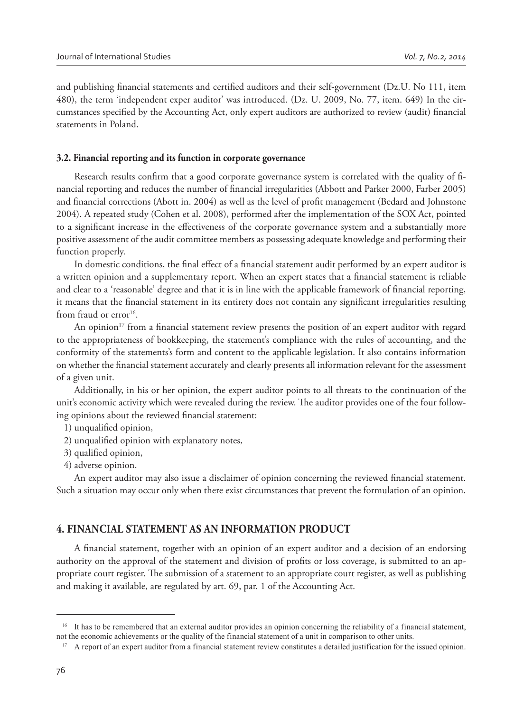and publishing financial statements and certified auditors and their self-government (Dz.U. No 111, item 480), the term 'independent exper auditor' was introduced. (Dz. U. 2009, No. 77, item. 649) In the circumstances specified by the Accounting Act, only expert auditors are authorized to review (audit) financial statements in Poland.

#### **3.2. Financial reporting and its function in corporate governance**

Research results confirm that a good corporate governance system is correlated with the quality of financial reporting and reduces the number of financial irregularities (Abbott and Parker 2000, Farber 2005) and financial corrections (Abott in. 2004) as well as the level of profit management (Bedard and Johnstone 2004). A repeated study (Cohen et al. 2008), performed after the implementation of the SOX Act, pointed to a significant increase in the effectiveness of the corporate governance system and a substantially more positive assessment of the audit committee members as possessing adequate knowledge and performing their function properly.

In domestic conditions, the final effect of a financial statement audit performed by an expert auditor is a written opinion and a supplementary report. When an expert states that a financial statement is reliable and clear to a 'reasonable' degree and that it is in line with the applicable framework of financial reporting, it means that the financial statement in its entirety does not contain any significant irregularities resulting from fraud or error<sup>16</sup>.

An opinion<sup>17</sup> from a financial statement review presents the position of an expert auditor with regard to the appropriateness of bookkeeping, the statement's compliance with the rules of accounting, and the conformity of the statements's form and content to the applicable legislation. It also contains information on whether the financial statement accurately and clearly presents all information relevant for the assessment of a given unit.

Additionally, in his or her opinion, the expert auditor points to all threats to the continuation of the unit's economic activity which were revealed during the review. The auditor provides one of the four following opinions about the reviewed financial statement:

- 1) unqualified opinion,
- 2) unqualified opinion with explanatory notes,
- 3) qualified opinion,
- 4) adverse opinion.

An expert auditor may also issue a disclaimer of opinion concerning the reviewed financial statement. Such a situation may occur only when there exist circumstances that prevent the formulation of an opinion.

## **4. FINANCIAL STATEMENT AS AN INFORMATION PRODUCT**

A financial statement, together with an opinion of an expert auditor and a decision of an endorsing authority on the approval of the statement and division of profits or loss coverage, is submitted to an appropriate court register. The submission of a statement to an appropriate court register, as well as publishing and making it available, are regulated by art. 69, par. 1 of the Accounting Act.

 $16$ . It has to be remembered that an external auditor provides an opinion concerning the reliability of a financial statement, not the economic achievements or the quality of the financial statement of a unit in comparison to other units.

<sup>&</sup>lt;sup>17</sup> A report of an expert auditor from a financial statement review constitutes a detailed justification for the issued opinion.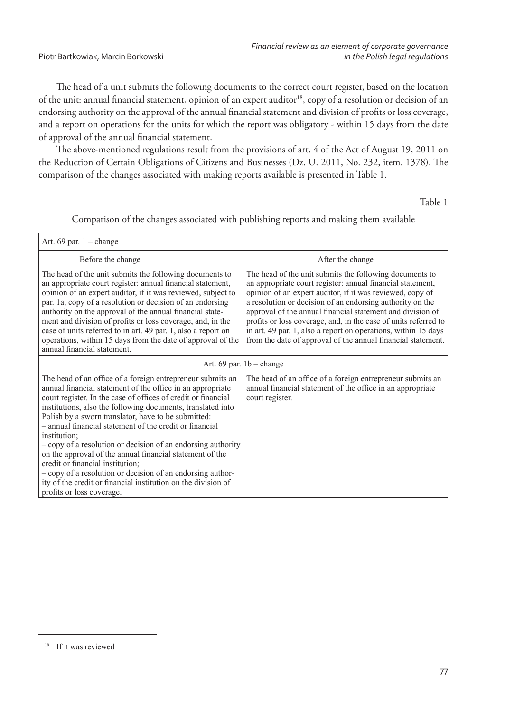The head of a unit submits the following documents to the correct court register, based on the location of the unit: annual financial statement, opinion of an expert auditor<sup>18</sup>, copy of a resolution or decision of an endorsing authority on the approval of the annual financial statement and division of profits or loss coverage, and a report on operations for the units for which the report was obligatory - within 15 days from the date of approval of the annual financial statement.

The above-mentioned regulations result from the provisions of art. 4 of the Act of August 19, 2011 on the Reduction of Certain Obligations of Citizens and Businesses (Dz. U. 2011, No. 232, item. 1378). The comparison of the changes associated with making reports available is presented in Table 1.

Table 1

| Art. $69$ par. $1 - change$                                                                                                                                                                                                                                                                                                                                                                                                                                                                                                                                                                                                                                                                                            |                                                                                                                                                                                                                                                                                                                                                                                                                                                                                                                    |  |
|------------------------------------------------------------------------------------------------------------------------------------------------------------------------------------------------------------------------------------------------------------------------------------------------------------------------------------------------------------------------------------------------------------------------------------------------------------------------------------------------------------------------------------------------------------------------------------------------------------------------------------------------------------------------------------------------------------------------|--------------------------------------------------------------------------------------------------------------------------------------------------------------------------------------------------------------------------------------------------------------------------------------------------------------------------------------------------------------------------------------------------------------------------------------------------------------------------------------------------------------------|--|
| Before the change                                                                                                                                                                                                                                                                                                                                                                                                                                                                                                                                                                                                                                                                                                      | After the change                                                                                                                                                                                                                                                                                                                                                                                                                                                                                                   |  |
| The head of the unit submits the following documents to<br>an appropriate court register: annual financial statement,<br>opinion of an expert auditor, if it was reviewed, subject to<br>par. 1a, copy of a resolution or decision of an endorsing<br>authority on the approval of the annual financial state-<br>ment and division of profits or loss coverage, and, in the<br>case of units referred to in art. 49 par. 1, also a report on<br>operations, within 15 days from the date of approval of the<br>annual financial statement.                                                                                                                                                                            | The head of the unit submits the following documents to<br>an appropriate court register: annual financial statement,<br>opinion of an expert auditor, if it was reviewed, copy of<br>a resolution or decision of an endorsing authority on the<br>approval of the annual financial statement and division of<br>profits or loss coverage, and, in the case of units referred to<br>in art. 49 par. 1, also a report on operations, within 15 days<br>from the date of approval of the annual financial statement. |  |
| Art. 69 par. $1b$ – change                                                                                                                                                                                                                                                                                                                                                                                                                                                                                                                                                                                                                                                                                             |                                                                                                                                                                                                                                                                                                                                                                                                                                                                                                                    |  |
| The head of an office of a foreign entrepreneur submits an<br>annual financial statement of the office in an appropriate<br>court register. In the case of offices of credit or financial<br>institutions, also the following documents, translated into<br>Polish by a sworn translator, have to be submitted:<br>- annual financial statement of the credit or financial<br>institution;<br>- copy of a resolution or decision of an endorsing authority<br>on the approval of the annual financial statement of the<br>credit or financial institution;<br>- copy of a resolution or decision of an endorsing author-<br>ity of the credit or financial institution on the division of<br>profits or loss coverage. | The head of an office of a foreign entrepreneur submits an<br>annual financial statement of the office in an appropriate<br>court register.                                                                                                                                                                                                                                                                                                                                                                        |  |

Comparison of the changes associated with publishing reports and making them available

<sup>&</sup>lt;sup>18</sup> If it was reviewed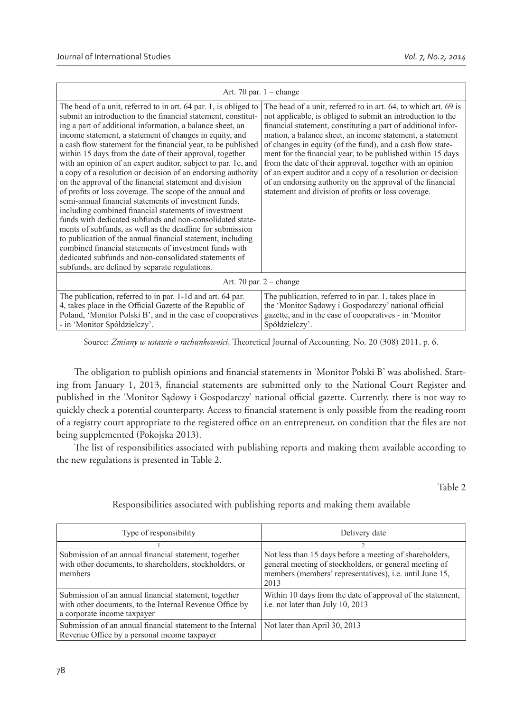| Art. 70 par. $1 - change$                                                                                                                                                                                                                                                                                                                                                                                                                                                                                                                                                                                                                                                                                                                                                                                                                                                                                                                                                                                                                                                                                                      |                                                                                                                                                                                                                                                                                                                                                                                                                                                                                                                                                                                                                                            |  |
|--------------------------------------------------------------------------------------------------------------------------------------------------------------------------------------------------------------------------------------------------------------------------------------------------------------------------------------------------------------------------------------------------------------------------------------------------------------------------------------------------------------------------------------------------------------------------------------------------------------------------------------------------------------------------------------------------------------------------------------------------------------------------------------------------------------------------------------------------------------------------------------------------------------------------------------------------------------------------------------------------------------------------------------------------------------------------------------------------------------------------------|--------------------------------------------------------------------------------------------------------------------------------------------------------------------------------------------------------------------------------------------------------------------------------------------------------------------------------------------------------------------------------------------------------------------------------------------------------------------------------------------------------------------------------------------------------------------------------------------------------------------------------------------|--|
| The head of a unit, referred to in art. 64 par. 1, is obliged to<br>submit an introduction to the financial statement, constitut-<br>ing a part of additional information, a balance sheet, an<br>income statement, a statement of changes in equity, and<br>a cash flow statement for the financial year, to be published<br>within 15 days from the date of their approval, together<br>with an opinion of an expert auditor, subject to par. 1c, and<br>a copy of a resolution or decision of an endorsing authority<br>on the approval of the financial statement and division<br>of profits or loss coverage. The scope of the annual and<br>semi-annual financial statements of investment funds,<br>including combined financial statements of investment<br>funds with dedicated subfunds and non-consolidated state-<br>ments of subfunds, as well as the deadline for submission<br>to publication of the annual financial statement, including<br>combined financial statements of investment funds with<br>dedicated subfunds and non-consolidated statements of<br>subfunds, are defined by separate regulations. | The head of a unit, referred to in art. 64, to which art. 69 is<br>not applicable, is obliged to submit an introduction to the<br>financial statement, constituting a part of additional infor-<br>mation, a balance sheet, an income statement, a statement<br>of changes in equity (of the fund), and a cash flow state-<br>ment for the financial year, to be published within 15 days<br>from the date of their approval, together with an opinion<br>of an expert auditor and a copy of a resolution or decision<br>of an endorsing authority on the approval of the financial<br>statement and division of profits or loss coverage. |  |
| Art. 70 par. $2$ – change                                                                                                                                                                                                                                                                                                                                                                                                                                                                                                                                                                                                                                                                                                                                                                                                                                                                                                                                                                                                                                                                                                      |                                                                                                                                                                                                                                                                                                                                                                                                                                                                                                                                                                                                                                            |  |
| The publication, referred to in par. 1-1d and art. 64 par.<br>4, takes place in the Official Gazette of the Republic of<br>Poland, 'Monitor Polski B', and in the case of cooperatives<br>- in 'Monitor Spółdzielczy'.                                                                                                                                                                                                                                                                                                                                                                                                                                                                                                                                                                                                                                                                                                                                                                                                                                                                                                         | The publication, referred to in par. 1, takes place in<br>the 'Monitor Sadowy i Gospodarczy' national official<br>gazette, and in the case of cooperatives - in 'Monitor<br>Spółdzielczy'.                                                                                                                                                                                                                                                                                                                                                                                                                                                 |  |

Source: *Zmiany w ustawie o rachunkowości*, Theoretical Journal of Accounting, No. 20 (308) 2011, p. 6.

The obligation to publish opinions and financial statements in 'Monitor Polski B' was abolished. Starting from January 1, 2013, financial statements are submitted only to the National Court Register and published in the 'Monitor Sądowy i Gospodarczy' national official gazette. Currently, there is not way to quickly check a potential counterparty. Access to financial statement is only possible from the reading room of a registry court appropriate to the registered office on an entrepreneur, on condition that the files are not being supplemented (Pokojska 2013).

The list of responsibilities associated with publishing reports and making them available according to the new regulations is presented in Table 2.

Table 2

## Responsibilities associated with publishing reports and making them available

| Type of responsibility                                                                                                                          | Delivery date                                                                                                                                                                               |
|-------------------------------------------------------------------------------------------------------------------------------------------------|---------------------------------------------------------------------------------------------------------------------------------------------------------------------------------------------|
|                                                                                                                                                 |                                                                                                                                                                                             |
| Submission of an annual financial statement, together<br>with other documents, to shareholders, stockholders, or<br>members                     | Not less than 15 days before a meeting of shareholders,<br>general meeting of stockholders, or general meeting of<br>members (members' representatives), <i>i.e.</i> until June 15,<br>2013 |
| Submission of an annual financial statement, together<br>with other documents, to the Internal Revenue Office by<br>a corporate income taxpayer | Within 10 days from the date of approval of the statement,<br>i.e. not later than July 10, 2013                                                                                             |
| Submission of an annual financial statement to the Internal<br>Revenue Office by a personal income taxpayer                                     | Not later than April 30, 2013                                                                                                                                                               |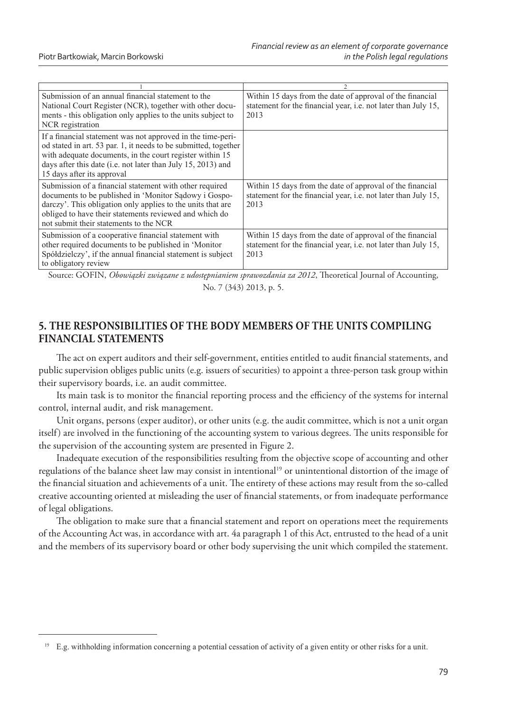| Submission of an annual financial statement to the<br>National Court Register (NCR), together with other docu-<br>ments - this obligation only applies to the units subject to<br>NCR registration                                                                                       | Within 15 days from the date of approval of the financial<br>statement for the financial year, <i>i.e.</i> not later than July 15,<br>2013 |
|------------------------------------------------------------------------------------------------------------------------------------------------------------------------------------------------------------------------------------------------------------------------------------------|--------------------------------------------------------------------------------------------------------------------------------------------|
| If a financial statement was not approved in the time-peri-<br>od stated in art. 53 par. 1, it needs to be submitted, together<br>with adequate documents, in the court register within 15<br>days after this date (i.e. not later than July 15, 2013) and<br>15 days after its approval |                                                                                                                                            |
| Submission of a financial statement with other required<br>documents to be published in 'Monitor Sadowy i Gospo-<br>darczy'. This obligation only applies to the units that are<br>obliged to have their statements reviewed and which do<br>not submit their statements to the NCR      | Within 15 days from the date of approval of the financial<br>statement for the financial year, <i>i.e.</i> not later than July 15,<br>2013 |
| Submission of a cooperative financial statement with<br>other required documents to be published in 'Monitor<br>Spółdzielczy', if the annual financial statement is subject<br>to obligatory review                                                                                      | Within 15 days from the date of approval of the financial<br>statement for the financial year, <i>i.e.</i> not later than July 15,<br>2013 |

Source: GOFIN, *Obowiązki związane z udostępnianiem sprawozdania za 2012*, Theoretical Journal of Accounting, No. 7 (343) 2013, p. 5.

## **5. THE RESPONSIBILITIES OF THE BODY MEMBERS OF THE UNITS COMPILING FINANCIAL STATEMENTS**

The act on expert auditors and their self-government, entities entitled to audit financial statements, and public supervision obliges public units (e.g. issuers of securities) to appoint a three-person task group within their supervisory boards, i.e. an audit committee.

Its main task is to monitor the financial reporting process and the efficiency of the systems for internal control, internal audit, and risk management.

Unit organs, persons (exper auditor), or other units (e.g. the audit committee, which is not a unit organ itself) are involved in the functioning of the accounting system to various degrees. The units responsible for the supervision of the accounting system are presented in Figure 2.

Inadequate execution of the responsibilities resulting from the objective scope of accounting and other regulations of the balance sheet law may consist in intentional<sup>19</sup> or unintentional distortion of the image of the financial situation and achievements of a unit. The entirety of these actions may result from the so-called creative accounting oriented at misleading the user of financial statements, or from inadequate performance of legal obligations.

The obligation to make sure that a financial statement and report on operations meet the requirements of the Accounting Act was, in accordance with art. 4a paragraph 1 of this Act, entrusted to the head of a unit and the members of its supervisory board or other body supervising the unit which compiled the statement.

E.g. withholding information concerning a potential cessation of activity of a given entity or other risks for a unit.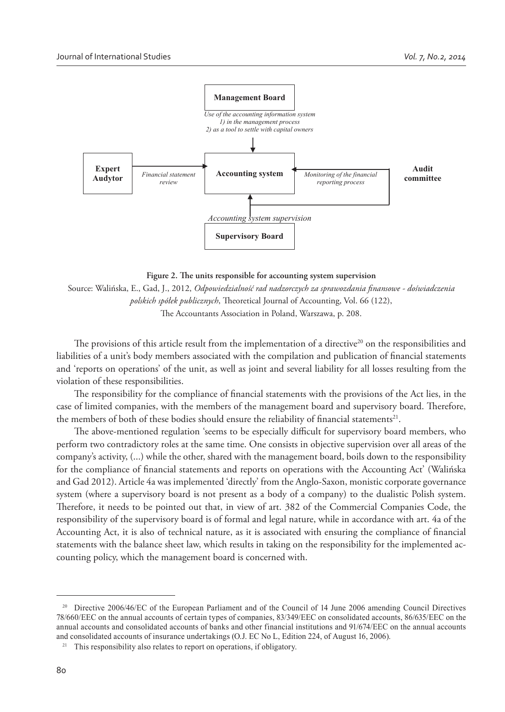

Figure 2. The units responsible for accounting system supervision

Source: Walińska, E., Gad, J., 2012, *Odpowiedzialność rad nadzorczych za sprawozdania % nansowe - doświadczenia polskich spółek publicznych*, Theoretical Journal of Accounting, Vol. 66 (122), The Accountants Association in Poland, Warszawa, p. 208.

The provisions of this article result from the implementation of a directive<sup>20</sup> on the responsibilities and liabilities of a unit's body members associated with the compilation and publication of financial statements and 'reports on operations' of the unit, as well as joint and several liability for all losses resulting from the violation of these responsibilities.

The responsibility for the compliance of financial statements with the provisions of the Act lies, in the case of limited companies, with the members of the management board and supervisory board. Therefore, the members of both of these bodies should ensure the reliability of financial statements<sup>21</sup>.

The above-mentioned regulation 'seems to be especially difficult for supervisory board members, who perform two contradictory roles at the same time. One consists in objective supervision over all areas of the company's activity, (...) while the other, shared with the management board, boils down to the responsibility for the compliance of financial statements and reports on operations with the Accounting Act' (Walińska and Gad 2012). Article 4a was implemented 'directly' from the Anglo-Saxon, monistic corporate governance system (where a supervisory board is not present as a body of a company) to the dualistic Polish system. Therefore, it needs to be pointed out that, in view of art. 382 of the Commercial Companies Code, the responsibility of the supervisory board is of formal and legal nature, while in accordance with art. 4a of the Accounting Act, it is also of technical nature, as it is associated with ensuring the compliance of financial statements with the balance sheet law, which results in taking on the responsibility for the implemented accounting policy, which the management board is concerned with.

<sup>&</sup>lt;sup>20</sup> Directive 2006/46/EC of the European Parliament and of the Council of 14 June 2006 amending Council Directives 78/660/EEC on the annual accounts of certain types of companies, 83/349/EEC on consolidated accounts, 86/635/EEC on the annual accounts and consolidated accounts of banks and other financial institutions and 91/674/EEC on the annual accounts and consolidated accounts of insurance undertakings (O.J. EC No L, Edition 224, of August 16, 2006).

<sup>&</sup>lt;sup>21</sup> This responsibility also relates to report on operations, if obligatory.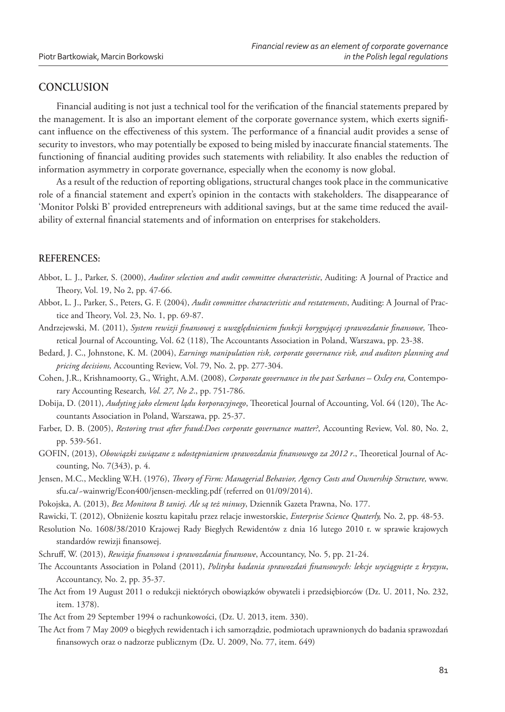## **CONCLUSION**

Financial auditing is not just a technical tool for the verification of the financial statements prepared by the management. It is also an important element of the corporate governance system, which exerts significant influence on the effectiveness of this system. The performance of a financial audit provides a sense of security to investors, who may potentially be exposed to being misled by inaccurate financial statements. The functioning of financial auditing provides such statements with reliability. It also enables the reduction of information asymmetry in corporate governance, especially when the economy is now global.

As a result of the reduction of reporting obligations, structural changes took place in the communicative role of a financial statement and expert's opinion in the contacts with stakeholders. The disappearance of 'Monitor Polski B' provided entrepreneurs with additional savings, but at the same time reduced the availability of external financial statements and of information on enterprises for stakeholders.

## **REFERENCES:**

- Abbot, L. J., Parker, S. (2000), *Auditor selection and audit committee characteristic*, Auditing: A Journal of Practice and Theory, Vol. 19, No 2, pp. 47-66.
- Abbot, L. J., Parker, S., Peters, G. F. (2004), *Audit committee characteristic and restatements*, Auditing: A Journal of Practice and Theory, Vol. 23, No. 1, pp. 69-87.
- Andrzejewski, M. (2011), *System rewizji finansowej z uwzględnieniem funkcji korygującej sprawozdanie finansowe*, Theoretical Journal of Accounting, Vol. 62 (118), The Accountants Association in Poland, Warszawa, pp. 23-38.
- Bedard, J. C., Johnstone, K. M. (2004), *Earnings manipulation risk, corporate governance risk, and auditors planning and pricing decisions,* Accounting Review, Vol. 79, No. 2, pp. 277-304.
- Cohen, J.R., Krishnamoorty, G., Wright, A.M. (2008), *Corporate governance in the past Sarbanes Oxley era,* Contemporary Accounting Research*, Vol. 27, No 2*., pp. 751-786.
- Dobija, D. (2011), *Audyting jako element lądu korporacyjnego*, Theoretical Journal of Accounting, Vol. 64 (120), The Accountants Association in Poland, Warszawa, pp. 25-37.
- Farber, D. B. (2005), *Restoring trust after fraud:Does corporate governance matter?*, Accounting Review, Vol. 80, No. 2, pp. 539-561.
- GOFIN, (2013), *Obowiązki związane z udostępnianiem sprawozdania finansowego za 2012 r.*, Theoretical Journal of Accounting, No. 7(343), p. 4.
- Jensen, M.C., Meckling W.H. (1976), *Theory of Firm: Managerial Behavior, Agency Costs and Ownership Structure, www.* sfu.ca/~wainwrig/Econ400/jensen-meckling.pdf (referred on 01/09/2014).
- Pokojska, A. (2013), *Bez Monitora B taniej. Ale są też minusy*, Dziennik Gazeta Prawna, No. 177.
- Rawicki, T. (2012), Obniżenie kosztu kapitału przez relacje inwestorskie, *Enterprise Science Quaterly,* No. 2, pp. 48-53.
- Resolution No. 1608/38/2010 Krajowej Rady Biegłych Rewidentów z dnia 16 lutego 2010 r. w sprawie krajowych standardów rewizji finansowej.
- Schruff, W. (2013), *Rewizja finansowa i sprawozdania finansowe*, Accountancy, No. 5, pp. 21-24.
- The Accountants Association in Poland (2011), *Polityka badania sprawozdań finansowych: lekcje wyciągnięte z kryzysu*, Accountancy, No. 2, pp. 35-37.
- The Act from 19 August 2011 o redukcji niektórych obowiązków obywateli i przedsiębiorców (Dz. U. 2011, No. 232, item. 1378).
- The Act from 29 September 1994 o rachunkowości, (Dz. U. 2013, item. 330).
- The Act from 7 May 2009 o biegłych rewidentach i ich samorządzie, podmiotach uprawnionych do badania sprawozdań finansowych oraz o nadzorze publicznym (Dz. U. 2009, No. 77, item. 649)